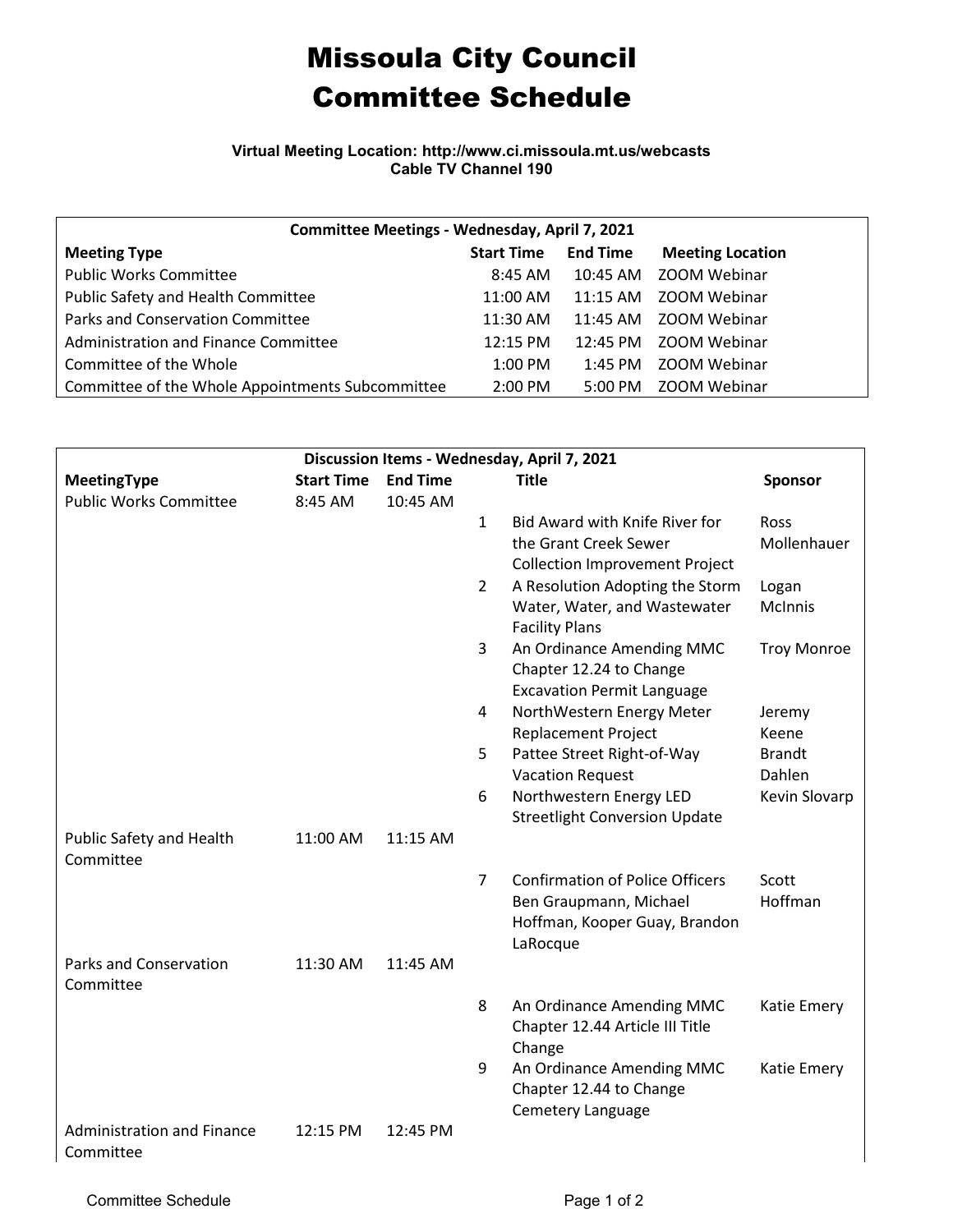## Missoula City Council Committee Schedule

**Virtual Meeting Location: http://www.ci.missoula.mt.us/webcasts Cable TV Channel 190**

| Committee Meetings - Wednesday, April 7, 2021    |                   |                    |                         |  |  |  |  |  |
|--------------------------------------------------|-------------------|--------------------|-------------------------|--|--|--|--|--|
| <b>Meeting Type</b>                              | <b>Start Time</b> | <b>End Time</b>    | <b>Meeting Location</b> |  |  |  |  |  |
| <b>Public Works Committee</b>                    | 8:45 AM           | 10:45 AM           | ZOOM Webinar            |  |  |  |  |  |
| Public Safety and Health Committee               | 11:00 AM          | $11:15$ AM         | ZOOM Webinar            |  |  |  |  |  |
| Parks and Conservation Committee                 | 11:30 AM          |                    | 11:45 AM ZOOM Webinar   |  |  |  |  |  |
| Administration and Finance Committee             | 12:15 PM          | $12:45 \text{ PM}$ | ZOOM Webinar            |  |  |  |  |  |
| Committee of the Whole                           | $1:00$ PM         | $1:45$ PM          | ZOOM Webinar            |  |  |  |  |  |
| Committee of the Whole Appointments Subcommittee | $2:00$ PM         | 5:00 PM            | ZOOM Webinar            |  |  |  |  |  |

| Discussion Items - Wednesday, April 7, 2021 |                   |                 |                |                                                         |                    |  |  |  |  |
|---------------------------------------------|-------------------|-----------------|----------------|---------------------------------------------------------|--------------------|--|--|--|--|
| MeetingType                                 | <b>Start Time</b> | <b>End Time</b> |                | <b>Title</b>                                            | <b>Sponsor</b>     |  |  |  |  |
| <b>Public Works Committee</b>               | 8:45 AM           | 10:45 AM        |                |                                                         |                    |  |  |  |  |
|                                             |                   |                 | $\mathbf{1}$   | <b>Bid Award with Knife River for</b>                   | Ross               |  |  |  |  |
|                                             |                   |                 |                | the Grant Creek Sewer                                   | Mollenhauer        |  |  |  |  |
|                                             |                   |                 |                | <b>Collection Improvement Project</b>                   |                    |  |  |  |  |
|                                             |                   |                 | $\overline{2}$ | A Resolution Adopting the Storm                         | Logan              |  |  |  |  |
|                                             |                   |                 |                | Water, Water, and Wastewater<br><b>Facility Plans</b>   | McInnis            |  |  |  |  |
|                                             |                   |                 | 3              | An Ordinance Amending MMC                               | <b>Troy Monroe</b> |  |  |  |  |
|                                             |                   |                 |                | Chapter 12.24 to Change                                 |                    |  |  |  |  |
|                                             |                   |                 |                | <b>Excavation Permit Language</b>                       |                    |  |  |  |  |
|                                             |                   |                 | 4              | NorthWestern Energy Meter                               | Jeremy             |  |  |  |  |
|                                             |                   |                 |                | <b>Replacement Project</b>                              | Keene              |  |  |  |  |
|                                             |                   |                 | 5              | Pattee Street Right-of-Way                              | <b>Brandt</b>      |  |  |  |  |
|                                             |                   |                 |                | <b>Vacation Request</b>                                 | Dahlen             |  |  |  |  |
|                                             |                   |                 | 6              | Northwestern Energy LED                                 | Kevin Slovarp      |  |  |  |  |
|                                             |                   |                 |                | <b>Streetlight Conversion Update</b>                    |                    |  |  |  |  |
| Public Safety and Health                    | 11:00 AM          | 11:15 AM        |                |                                                         |                    |  |  |  |  |
| Committee                                   |                   |                 |                |                                                         |                    |  |  |  |  |
|                                             |                   |                 | $\overline{7}$ | <b>Confirmation of Police Officers</b>                  | Scott<br>Hoffman   |  |  |  |  |
|                                             |                   |                 |                | Ben Graupmann, Michael<br>Hoffman, Kooper Guay, Brandon |                    |  |  |  |  |
|                                             |                   |                 |                | LaRocque                                                |                    |  |  |  |  |
| <b>Parks and Conservation</b>               | 11:30 AM          | 11:45 AM        |                |                                                         |                    |  |  |  |  |
| Committee                                   |                   |                 |                |                                                         |                    |  |  |  |  |
|                                             |                   |                 | 8              | An Ordinance Amending MMC                               | Katie Emery        |  |  |  |  |
|                                             |                   |                 |                | Chapter 12.44 Article III Title                         |                    |  |  |  |  |
|                                             |                   |                 |                | Change                                                  |                    |  |  |  |  |
|                                             |                   |                 | 9              | An Ordinance Amending MMC                               | Katie Emery        |  |  |  |  |
|                                             |                   |                 |                | Chapter 12.44 to Change                                 |                    |  |  |  |  |
|                                             |                   |                 |                | Cemetery Language                                       |                    |  |  |  |  |
| <b>Administration and Finance</b>           | 12:15 PM          | 12:45 PM        |                |                                                         |                    |  |  |  |  |
| Committee                                   |                   |                 |                |                                                         |                    |  |  |  |  |